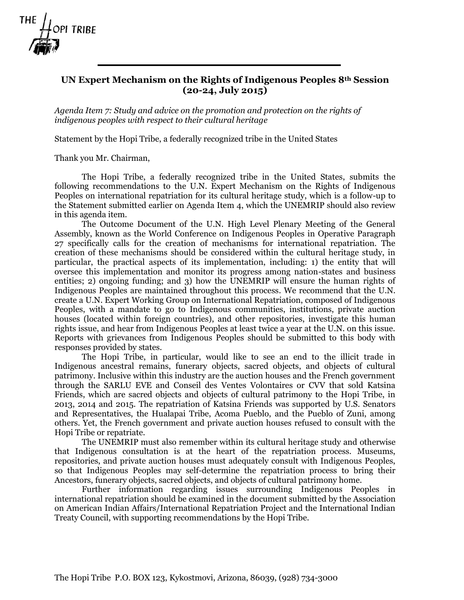

## **UN Expert Mechanism on the Rights of Indigenous Peoples 8th Session (20-24, July 2015)**

*Agenda Item 7: Study and advice on the promotion and protection on the rights of indigenous peoples with respect to their cultural heritage*

Statement by the Hopi Tribe, a federally recognized tribe in the United States

Thank you Mr. Chairman,

The Hopi Tribe, a federally recognized tribe in the United States, submits the following recommendations to the U.N. Expert Mechanism on the Rights of Indigenous Peoples on international repatriation for its cultural heritage study, which is a follow-up to the Statement submitted earlier on Agenda Item 4, which the UNEMRIP should also review in this agenda item.

The Outcome Document of the U.N. High Level Plenary Meeting of the General Assembly, known as the World Conference on Indigenous Peoples in Operative Paragraph 27 specifically calls for the creation of mechanisms for international repatriation. The creation of these mechanisms should be considered within the cultural heritage study, in particular, the practical aspects of its implementation, including: 1) the entity that will oversee this implementation and monitor its progress among nation-states and business entities; 2) ongoing funding; and 3) how the UNEMRIP will ensure the human rights of Indigenous Peoples are maintained throughout this process. We recommend that the U.N. create a U.N. Expert Working Group on International Repatriation, composed of Indigenous Peoples, with a mandate to go to Indigenous communities, institutions, private auction houses (located within foreign countries), and other repositories, investigate this human rights issue, and hear from Indigenous Peoples at least twice a year at the U.N. on this issue. Reports with grievances from Indigenous Peoples should be submitted to this body with responses provided by states.

The Hopi Tribe, in particular, would like to see an end to the illicit trade in Indigenous ancestral remains, funerary objects, sacred objects, and objects of cultural patrimony. Inclusive within this industry are the auction houses and the French government through the SARLU EVE and Conseil des Ventes Volontaires or CVV that sold Katsina Friends, which are sacred objects and objects of cultural patrimony to the Hopi Tribe, in 2013, 2014 and 2015. The repatriation of Katsina Friends was supported by U.S. Senators and Representatives, the Hualapai Tribe, Acoma Pueblo, and the Pueblo of Zuni, among others. Yet, the French government and private auction houses refused to consult with the Hopi Tribe or repatriate.

The UNEMRIP must also remember within its cultural heritage study and otherwise that Indigenous consultation is at the heart of the repatriation process. Museums, repositories, and private auction houses must adequately consult with Indigenous Peoples, so that Indigenous Peoples may self-determine the repatriation process to bring their Ancestors, funerary objects, sacred objects, and objects of cultural patrimony home.

Further information regarding issues surrounding Indigenous Peoples in international repatriation should be examined in the document submitted by the Association on American Indian Affairs/International Repatriation Project and the International Indian Treaty Council, with supporting recommendations by the Hopi Tribe.